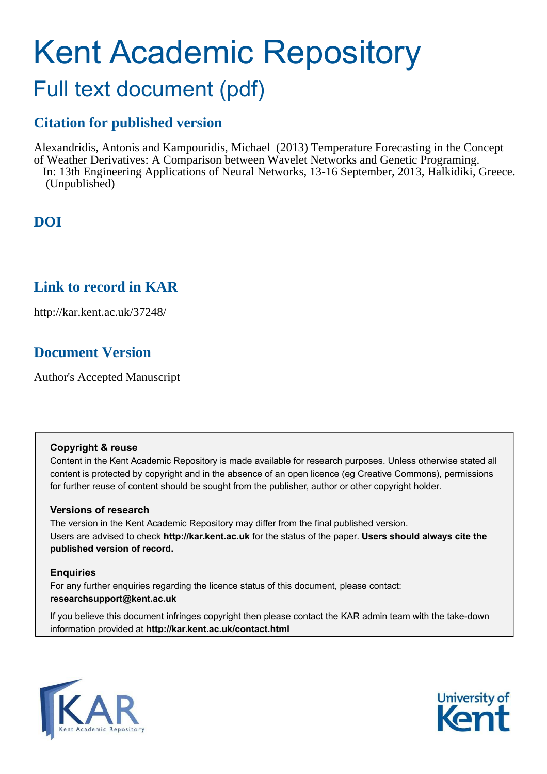# Kent Academic Repository

## Full text document (pdf)

## **Citation for published version**

Alexandridis, Antonis and Kampouridis, Michael (2013) Temperature Forecasting in the Concept of Weather Derivatives: A Comparison between Wavelet Networks and Genetic Programing. In: 13th Engineering Applications of Neural Networks, 13-16 September, 2013, Halkidiki, Greece. (Unpublished)

## **DOI**

## **Link to record in KAR**

http://kar.kent.ac.uk/37248/

## **Document Version**

Author's Accepted Manuscript

#### **Copyright & reuse**

Content in the Kent Academic Repository is made available for research purposes. Unless otherwise stated all content is protected by copyright and in the absence of an open licence (eg Creative Commons), permissions for further reuse of content should be sought from the publisher, author or other copyright holder.

#### **Versions of research**

The version in the Kent Academic Repository may differ from the final published version. Users are advised to check **http://kar.kent.ac.uk** for the status of the paper. **Users should always cite the published version of record.**

#### **Enquiries**

For any further enquiries regarding the licence status of this document, please contact: **researchsupport@kent.ac.uk**

If you believe this document infringes copyright then please contact the KAR admin team with the take-down information provided at **http://kar.kent.ac.uk/contact.html**



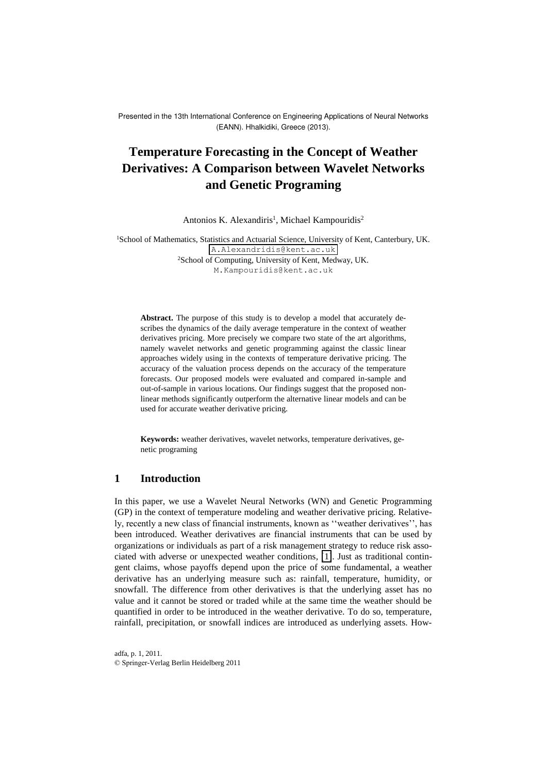Presented in the 13th International Conference on Engineering Applications of Neural Networks (EANN). Hhalkidiki, Greece (2013).

### **Temperature Forecasting in the Concept of Weather Derivatives: A Comparison between Wavelet Networks and Genetic Programing**

Antonios K. Alexandiris<sup>1</sup>, Michael Kampouridis<sup>2</sup>

<sup>1</sup>School of Mathematics, Statistics and Actuarial Science, University of Kent, Canterbury, UK. [A.Alexandridis@kent.ac.uk](mailto:A.Alexandridis@kent.ac.uk)  <sup>2</sup>School of Computing, University of Kent, Medway, UK. M.Kampouridis@kent.ac.uk

**Abstract.** The purpose of this study is to develop a model that accurately describes the dynamics of the daily average temperature in the context of weather derivatives pricing. More precisely we compare two state of the art algorithms, namely wavelet networks and genetic programming against the classic linear approaches widely using in the contexts of temperature derivative pricing. The accuracy of the valuation process depends on the accuracy of the temperature forecasts. Our proposed models were evaluated and compared in-sample and out-of-sample in various locations. Our findings suggest that the proposed nonlinear methods significantly outperform the alternative linear models and can be used for accurate weather derivative pricing.

**Keywords:** weather derivatives, wavelet networks, temperature derivatives, genetic programing

#### **1 Introduction**

In this paper, we use a Wavelet Neural Networks (WN) and Genetic Programming (GP) in the context of temperature modeling and weather derivative pricing. Relatively, recently a new class of financial instruments, known as ''weather derivatives'', has been introduced. Weather derivatives are financial instruments that can be used by organizations or individuals as part of a risk management strategy to reduce risk associated with adverse or unexpected weather conditions, [\[1\]](#page-8-0). Just as traditional contingent claims, whose payoffs depend upon the price of some fundamental, a weather derivative has an underlying measure such as: rainfall, temperature, humidity, or snowfall. The difference from other derivatives is that the underlying asset has no value and it cannot be stored or traded while at the same time the weather should be quantified in order to be introduced in the weather derivative. To do so, temperature, rainfall, precipitation, or snowfall indices are introduced as underlying assets. How-

adfa, p. 1, 2011. © Springer-Verlag Berlin Heidelberg 2011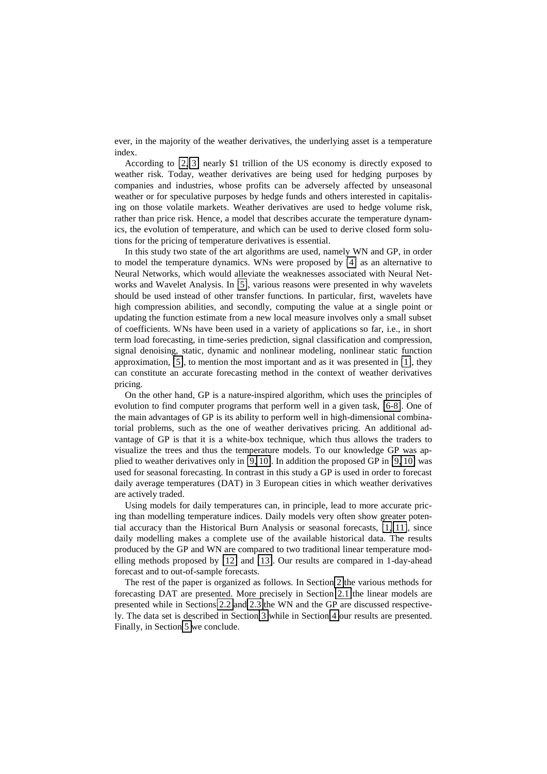<span id="page-2-0"></span>ever, in the majority of the weather derivatives, the underlying asset is a temperature index.

According to [\[2,](#page-8-1) [3\]](#page-8-2) nearly \$1 trillion of the US economy is directly exposed to weather risk. Today, weather derivatives are being used for hedging purposes by companies and industries, whose profits can be adversely affected by unseasonal weather or for speculative purposes by hedge funds and others interested in capitalising on those volatile markets. Weather derivatives are used to hedge volume risk, rather than price risk. Hence, a model that describes accurate the temperature dynamics, the evolution of temperature, and which can be used to derive closed form solutions for the pricing of temperature derivatives is essential.

In this study two state of the art algorithms are used, namely WN and GP, in order to model the temperature dynamics. WNs were proposed by [\[4\]](#page-8-3) as an alternative to Neural Networks, which would alleviate the weaknesses associated with Neural Networks and Wavelet Analysis. In [\[5\]](#page-8-4), various reasons were presented in why wavelets should be used instead of other transfer functions. In particular, first, wavelets have high compression abilities, and secondly, computing the value at a single point or updating the function estimate from a new local measure involves only a small subset of coefficients. WNs have been used in a variety of applications so far, i.e., in short term load forecasting, in time-series prediction, signal classification and compression, signal denoising, static, dynamic and nonlinear modeling, nonlinear static function approximation, [\[5\]](#page-8-4), to mention the most important and as it was presented in [\[1\]](#page-8-0), they can constitute an accurate forecasting method in the context of weather derivatives pricing.

<span id="page-2-1"></span>On the other hand, GP is a nature-inspired algorithm, which uses the principles of evolution to find computer programs that perform well in a given task, [\[6-8\]](#page-8-5). One of the main advantages of GP is its ability to perform well in high-dimensional combinatorial problems, such as the one of weather derivatives pricing. An additional advantage of GP is that it is a white-box technique, which thus allows the traders to visualize the trees and thus the temperature models. To our knowledge GP was applied to weather derivatives only in [\[9,](#page-9-0) [10\]](#page-9-1). In addition the proposed GP in [\[9,](#page-9-0) [10\]](#page-9-1) was used for seasonal forecasting. In contrast in this study a GP is used in order to forecast daily average temperatures (DAT) in 3 European cities in which weather derivatives are actively traded.

Using models for daily temperatures can, in principle, lead to more accurate pricing than modelling temperature indices. Daily models very often show greater potential accuracy than the Historical Burn Analysis or seasonal forecasts, [\[1,](#page-8-0) [11\]](#page-9-2), since daily modelling makes a complete use of the available historical data. The results produced by the GP and WN are compared to two traditional linear temperature modelling methods proposed by [\[12\]](#page-9-3) and [\[13\]](#page-9-4). Our results are compared in 1-day-ahead forecast and to out-of-sample forecasts.

The rest of the paper is organized as follows. In Section [2](#page-2-0) the various methods for forecasting DAT are presented. More precisely in Section [2.1](#page-2-1) the linear models are presented while in Sections [2.2](#page-3-0) and [2.3](#page-4-0) the WN and the GP are discussed respectively. The data set is described in Section [3](#page-5-0) while in Section [4](#page-5-1) our results are presented. Finally, in Section [5](#page-7-0) we conclude.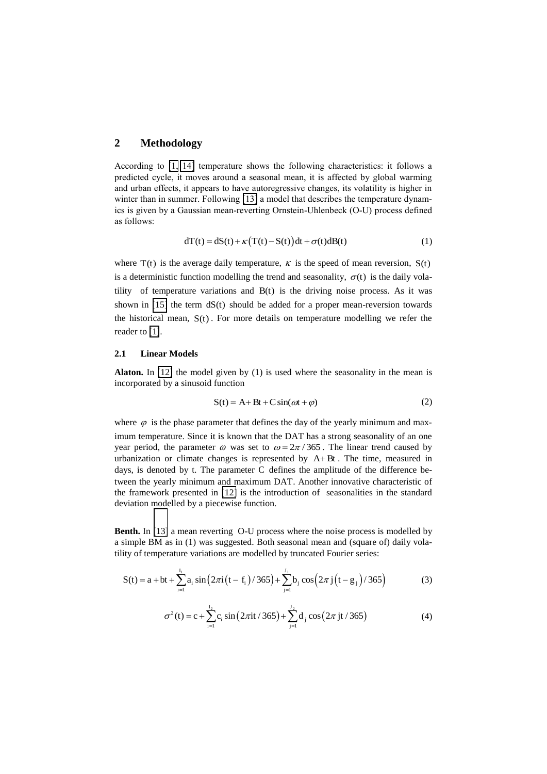#### **2 Methodology**

<span id="page-3-0"></span>According to [\[1,](#page-8-0) [14\]](#page-9-5) temperature shows the following characteristics: it follows a predicted cycle, it moves around a seasonal mean, it is affected by global warming and urban effects, it appears to have autoregressive changes, its volatility is higher in winter than in summer. Following [\[13\]](#page-9-4) a model that describes the temperature dynamics is given by a Gaussian mean-reverting Ornstein-Uhlenbeck (O-U) process defined as follows:

$$
dT(t) = dS(t) + \kappa (T(t) - S(t)) dt + \sigma(t) dB(t)
$$
\n(1)

where T(t) is the average daily temperature,  $\kappa$  is the speed of mean reversion,  $S(t)$ is a deterministic function modelling the trend and seasonality,  $\sigma(t)$  is the daily volatility of temperature variations and  $B(t)$  is the driving noise process. As it was shown in  $[15]$  the term  $dS(t)$  should be added for a proper mean-reversion towards the historical mean,  $S(t)$ . For more details on temperature modelling we refer the reader to [\[1\]](#page-8-0).

#### **2.1 Linear Models**

**Alaton.** In [\[12\]](#page-9-3) the model given by (1) is used where the seasonality in the mean is incorporated by a sinusoid function

$$
S(t) = A + Bt + C\sin(\omega t + \varphi)
$$
 (2)

where  $\varphi$  is the phase parameter that defines the day of the yearly minimum and maximum temperature. Since it is known that the DAT has a strong seasonality of an one year period, the parameter  $\omega$  was set to  $\omega = 2\pi/365$ . The linear trend caused by urbanization or climate changes is represented by  $A + Bt$ . The time, measured in days, is denoted by t. The parameter C defines the amplitude of the difference between the yearly minimum and maximum DAT. Another innovative characteristic of the framework presented in [\[12\]](#page-9-3) is the introduction of seasonalities in the standard deviation modelled by a piecewise function.

**Benth.** In [\[13\]](#page-9-4) a mean reverting O-U process where the noise process is modelled by a simple BM as in (1) was suggested. Both seasonal mean and (square of) daily volatility of temperature variations are modelled by truncated Fourier series:

$$
S(t) = a + bt + \sum_{i=1}^{I_1} a_i \sin(2\pi i (t - f_i)/365) + \sum_{j=1}^{J_1} b_j \cos(2\pi i (t - g_j)/365)
$$
 (3)

$$
\sigma^{2}(t) = c + \sum_{i=1}^{I_{2}} c_{i} \sin (2\pi i t / 365) + \sum_{j=1}^{J_{2}} d_{j} \cos (2\pi j t / 365)
$$
 (4)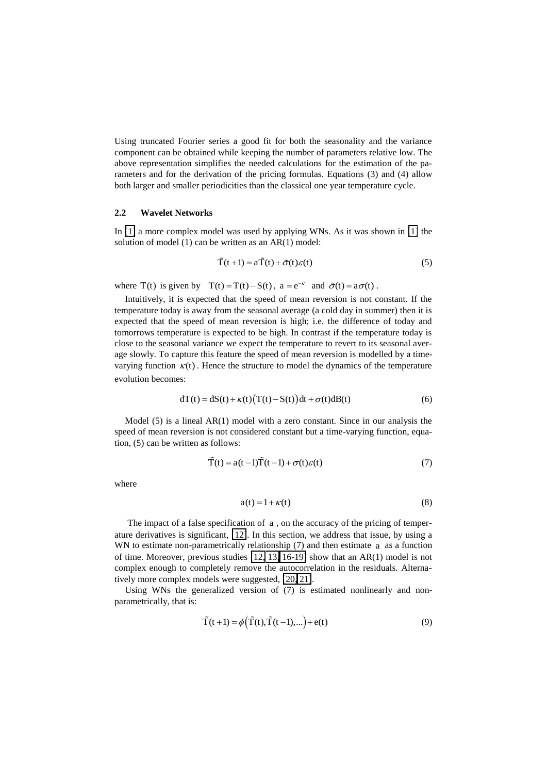Using truncated Fourier series a good fit for both the seasonality and the variance component can be obtained while keeping the number of parameters relative low. The above representation simplifies the needed calculations for the estimation of the parameters and for the derivation of the pricing formulas. Equations (3) and (4) allow both larger and smaller periodicities than the classical one year temperature cycle.

#### <span id="page-4-0"></span>**2.2 Wavelet Networks**

In [\[1\]](#page-8-0) a more complex model was used by applying WNs. As it was shown in [\[1\]](#page-8-0) the solution of model (1) can be written as an AR(1) model:

$$
\tilde{T}(t+1) = a\tilde{T}(t) + \tilde{\sigma}(t)\varepsilon(t)
$$
\n(5)

where T(t) is given by T(t) = T(t) - S(t),  $a = e^{-\kappa}$  and  $\tilde{\sigma}(t) = a\sigma(t)$ .

Intuitively, it is expected that the speed of mean reversion is not constant. If the temperature today is away from the seasonal average (a cold day in summer) then it is expected that the speed of mean reversion is high; i.e. the difference of today and tomorrows temperature is expected to be high. In contrast if the temperature today is close to the seasonal variance we expect the temperature to revert to its seasonal average slowly. To capture this feature the speed of mean reversion is modelled by a timevarying function  $\kappa(t)$ . Hence the structure to model the dynamics of the temperature evolution becomes:

$$
dT(t) = dS(t) + \kappa(t) (T(t) - S(t)) dt + \sigma(t) dB(t)
$$
\n(6)

<span id="page-4-1"></span>Model (5) is a lineal AR(1) model with a zero constant. Since in our analysis the speed of mean reversion is not considered constant but a time-varying function, equation, (5) can be written as follows:

$$
\tilde{T}(t) = a(t-1)\tilde{T}(t-1) + \sigma(t)\varepsilon(t)
$$
\n(7)

where

$$
a(t) = 1 + \kappa(t) \tag{8}
$$

The impact of a false specification of <sup>a</sup> , on the accuracy of the pricing of temperature derivatives is significant, [\[12\]](#page-9-3). In this section, we address that issue, by using a WN to estimate non-parametrically relationship (7) and then estimate a as a function of time. Moreover, previous studies [\[12,](#page-9-3) [13,](#page-9-4) [16-19\]](#page-9-7) show that an AR(1) model is not complex enough to completely remove the autocorrelation in the residuals. Alternatively more complex models were suggested, [\[20,](#page-9-8) [21\]](#page-9-9).

Using WNs the generalized version of (7) is estimated nonlinearly and nonparametrically, that is:

$$
\tilde{T}(t+1) = \phi(\tilde{T}(t), \tilde{T}(t-1), \dots) + e(t)
$$
\n(9)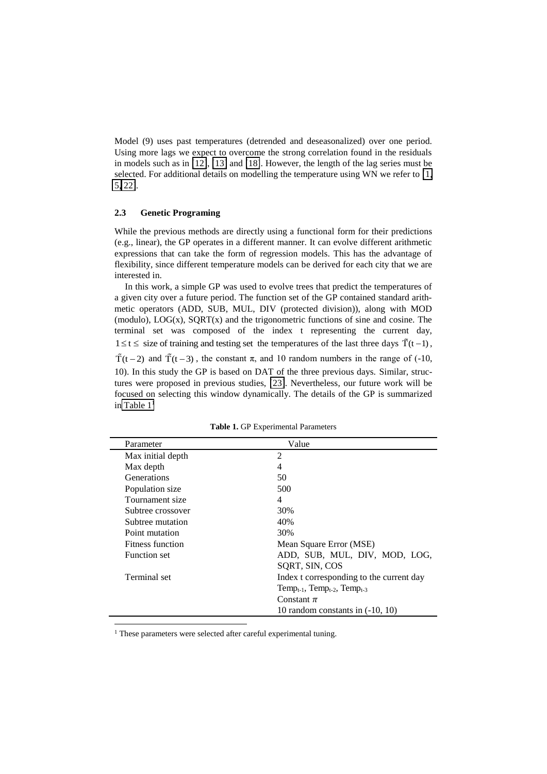Model (9) uses past temperatures (detrended and deseasonalized) over one period. Using more lags we expect to overcome the strong correlation found in the residuals in models such as in [\[12\]](#page-9-3), [\[13\]](#page-9-4) and [\[18\]](#page-9-10). However, the length of the lag series must be selected. For additional details on modelling the temperature using WN we refer to [\[1,](#page-8-0) [5,](#page-8-4) [22\]](#page-9-11).

#### **2.3 Genetic Programing**

<span id="page-5-0"></span>While the previous methods are directly using a functional form for their predictions (e.g., linear), the GP operates in a different manner. It can evolve different arithmetic expressions that can take the form of regression models. This has the advantage of flexibility, since different temperature models can be derived for each city that we are interested in.

In this work, a simple GP was used to evolve trees that predict the temperatures of a given city over a future period. The function set of the GP contained standard arithmetic operators (ADD, SUB, MUL, DIV (protected division)), along with MOD (modulo),  $LOG(x)$ ,  $SORT(x)$  and the trigonometric functions of sine and cosine. The terminal set was composed of the index t representing the current day,  $1 \le t \le$  size of training and testing set the temperatures of the last three days  $\tilde{T}(t-1)$ ,  $\tilde{T}(t-2)$  and  $\tilde{T}(t-3)$ , the constant  $\pi$ , and 10 random numbers in the range of (-10, 10). In this study the GP is based on DAT of the three previous days. Similar, structures were proposed in previous studies, [\[23\]](#page-9-12). Nevertheless, our future work will be focused on selecting this window dynamically. The details of the GP is summarized in Table  $1<sup>1</sup>$ 

<span id="page-5-1"></span>

| Parameter           | Value                                                           |
|---------------------|-----------------------------------------------------------------|
| Max initial depth   | $\overline{2}$                                                  |
| Max depth           | 4                                                               |
| <b>Generations</b>  | 50                                                              |
| Population size     | 500                                                             |
| Tournament size     | 4                                                               |
| Subtree crossover   | 30%                                                             |
| Subtree mutation    | 40%                                                             |
| Point mutation      | 30%                                                             |
| Fitness function    | Mean Square Error (MSE)                                         |
| <b>Function</b> set | ADD, SUB, MUL, DIV, MOD, LOG,                                   |
|                     | SORT, SIN, COS                                                  |
| Terminal set        | Index t corresponding to the current day                        |
|                     | Temp <sub>t-1</sub> , Temp <sub>t-2</sub> , Temp <sub>t-3</sub> |
|                     | Constant $\pi$                                                  |
|                     | 10 random constants in $(-10, 10)$                              |

**Table 1.** GP Experimental Parameters

<sup>1</sup> These parameters were selected after careful experimental tuning.

 $\overline{a}$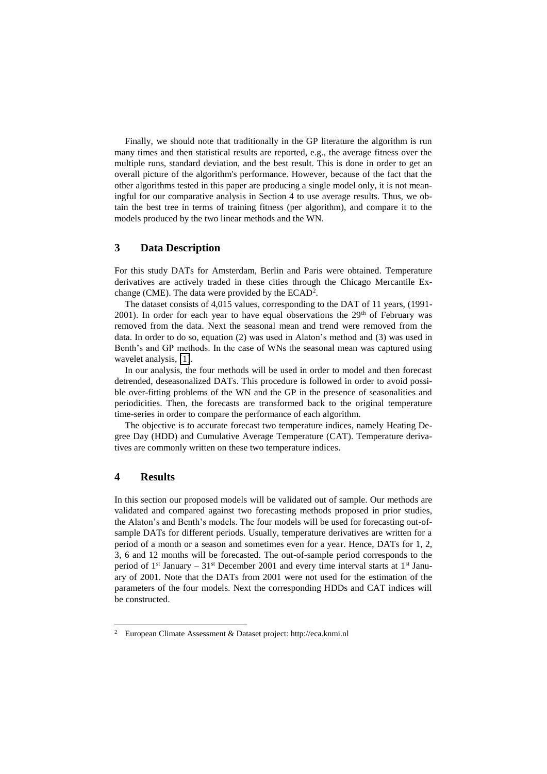Finally, we should note that traditionally in the GP literature the algorithm is run many times and then statistical results are reported, e.g., the average fitness over the multiple runs, standard deviation, and the best result. This is done in order to get an overall picture of the algorithm's performance. However, because of the fact that the other algorithms tested in this paper are producing a single model only, it is not meaningful for our comparative analysis in Section 4 to use average results. Thus, we obtain the best tree in terms of training fitness (per algorithm), and compare it to the models produced by the two linear methods and the WN.

#### **3 Data Description**

For this study DATs for Amsterdam, Berlin and Paris were obtained. Temperature derivatives are actively traded in these cities through the Chicago Mercantile Exchange (CME). The data were provided by the ECAD<sup>2</sup>.

The dataset consists of 4,015 values, corresponding to the DAT of 11 years, (1991- 2001). In order for each year to have equal observations the  $29<sup>th</sup>$  of February was removed from the data. Next the seasonal mean and trend were removed from the data. In order to do so, equation (2) was used in Alaton's method and (3) was used in Benth's and GP methods. In the case of WNs the seasonal mean was captured using wavelet analysis, [\[1\]](#page-8-0).

In our analysis, the four methods will be used in order to model and then forecast detrended, deseasonalized DATs. This procedure is followed in order to avoid possible over-fitting problems of the WN and the GP in the presence of seasonalities and periodicities. Then, the forecasts are transformed back to the original temperature time-series in order to compare the performance of each algorithm.

The objective is to accurate forecast two temperature indices, namely Heating Degree Day (HDD) and Cumulative Average Temperature (CAT). Temperature derivatives are commonly written on these two temperature indices.

#### **4 Results**

 $\overline{a}$ 

In this section our proposed models will be validated out of sample. Our methods are validated and compared against two forecasting methods proposed in prior studies, the Alaton's and Benth's models. The four models will be used for forecasting out-ofsample DATs for different periods. Usually, temperature derivatives are written for a period of a month or a season and sometimes even for a year. Hence, DATs for 1, 2, 3, 6 and 12 months will be forecasted. The out-of-sample period corresponds to the period of  $1<sup>st</sup>$  January –  $31<sup>st</sup>$  December 2001 and every time interval starts at  $1<sup>st</sup>$  January of 2001. Note that the DATs from 2001 were not used for the estimation of the parameters of the four models. Next the corresponding HDDs and CAT indices will be constructed.

<sup>2</sup> European Climate Assessment & Dataset project: http://eca.knmi.nl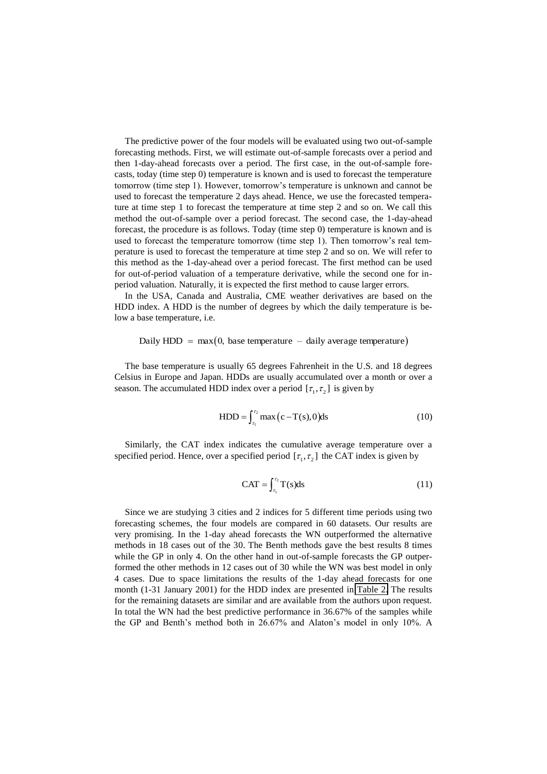The predictive power of the four models will be evaluated using two out-of-sample forecasting methods. First, we will estimate out-of-sample forecasts over a period and then 1-day-ahead forecasts over a period. The first case, in the out-of-sample forecasts, today (time step 0) temperature is known and is used to forecast the temperature tomorrow (time step 1). However, tomorrow's temperature is unknown and cannot be used to forecast the temperature 2 days ahead. Hence, we use the forecasted temperature at time step 1 to forecast the temperature at time step 2 and so on. We call this method the out-of-sample over a period forecast. The second case, the 1-day-ahead forecast, the procedure is as follows. Today (time step 0) temperature is known and is used to forecast the temperature tomorrow (time step 1). Then tomorrow's real temperature is used to forecast the temperature at time step 2 and so on. We will refer to this method as the 1-day-ahead over a period forecast. The first method can be used for out-of-period valuation of a temperature derivative, while the second one for inperiod valuation. Naturally, it is expected the first method to cause larger errors.

In the USA, Canada and Australia, CME weather derivatives are based on the HDD index. A HDD is the number of degrees by which the daily temperature is below a base temperature, i.e.

#### Daily HDD =  $max(0, base temperature - daily average temperature)$

<span id="page-7-1"></span>The base temperature is usually 65 degrees Fahrenheit in the U.S. and 18 degrees Celsius in Europe and Japan. HDDs are usually accumulated over a month or over a season. The accumulated HDD index over a period  $[\tau_1, \tau_2]$  is given by

$$
HDD = \int_{\tau_1}^{\tau_2} \max\left(c - T(s), 0\right) ds \tag{10}
$$

Similarly, the CAT index indicates the cumulative average temperature over a specified period. Hence, over a specified period  $[\tau_1, \tau_2]$  the CAT index is given by

$$
CAT = \int_{\tau_1}^{\tau_2} T(s) ds \tag{11}
$$

<span id="page-7-0"></span>Since we are studying 3 cities and 2 indices for 5 different time periods using two forecasting schemes, the four models are compared in 60 datasets. Our results are very promising. In the 1-day ahead forecasts the WN outperformed the alternative methods in 18 cases out of the 30. The Benth methods gave the best results 8 times while the GP in only 4. On the other hand in out-of-sample forecasts the GP outperformed the other methods in 12 cases out of 30 while the WN was best model in only 4 cases. Due to space limitations the results of the 1-day ahead forecasts for one month (1-31 January 2001) for the HDD index are presented in [Table 2.](#page-7-1) The results for the remaining datasets are similar and are available from the authors upon request. In total the WN had the best predictive performance in 36.67% of the samples while the GP and Benth's method both in 26.67% and Alaton's model in only 10%. A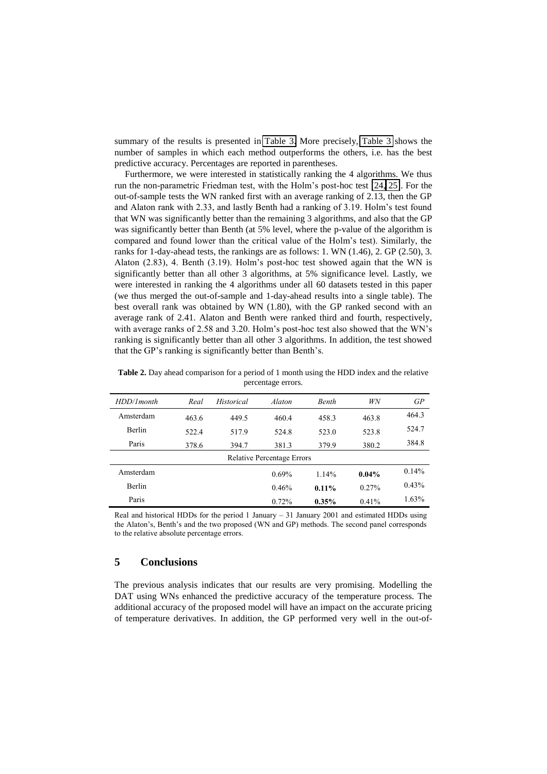summary of the results is presented in [Table 3.](#page-8-6) More precisely, [Table 3](#page-8-6) shows the number of samples in which each method outperforms the others, i.e. has the best predictive accuracy. Percentages are reported in parentheses.

Furthermore, we were interested in statistically ranking the 4 algorithms. We thus run the non-parametric Friedman test, with the Holm's post-hoc test [\[24,](#page-9-13) [25\]](#page-9-14). For the out-of-sample tests the WN ranked first with an average ranking of 2.13, then the GP and Alaton rank with 2.33, and lastly Benth had a ranking of 3.19. Holm's test found that WN was significantly better than the remaining 3 algorithms, and also that the GP was significantly better than Benth (at 5% level, where the p-value of the algorithm is compared and found lower than the critical value of the Holm's test). Similarly, the ranks for 1-day-ahead tests, the rankings are as follows: 1. WN (1.46), 2. GP (2.50), 3. Alaton (2.83), 4. Benth (3.19). Holm's post-hoc test showed again that the WN is significantly better than all other 3 algorithms, at 5% significance level. Lastly, we were interested in ranking the 4 algorithms under all 60 datasets tested in this paper (we thus merged the out-of-sample and 1-day-ahead results into a single table). The best overall rank was obtained by WN (1.80), with the GP ranked second with an average rank of 2.41. Alaton and Benth were ranked third and fourth, respectively, with average ranks of 2.58 and 3.20. Holm's post-hoc test also showed that the WN's ranking is significantly better than all other 3 algorithms. In addition, the test showed that the GP's ranking is significantly better than Benth's.

| HDD/Imonth                        | Real  | Historical | Alaton   | <b>Benth</b> | WN       | GP    |  |  |
|-----------------------------------|-------|------------|----------|--------------|----------|-------|--|--|
| Amsterdam                         | 463.6 | 449.5      | 460.4    | 458.3        | 463.8    | 464.3 |  |  |
| Berlin                            | 522.4 | 517.9      | 524.8    | 523.0        | 523.8    | 524.7 |  |  |
| Paris                             | 378.6 | 394.7      | 381.3    | 379.9        | 380.2    | 384.8 |  |  |
| <b>Relative Percentage Errors</b> |       |            |          |              |          |       |  |  |
| Amsterdam                         |       |            | $0.69\%$ | $1.14\%$     | $0.04\%$ | 0.14% |  |  |
| Berlin                            |       |            | 0.46%    | $0.11\%$     | 0.27%    | 0.43% |  |  |
| Paris                             |       |            | 0.72%    | $0.35\%$     | $0.41\%$ | 1.63% |  |  |

<span id="page-8-6"></span>**Table 2.** Day ahead comparison for a period of 1 month using the HDD index and the relative percentage errors.

<span id="page-8-3"></span><span id="page-8-2"></span><span id="page-8-1"></span><span id="page-8-0"></span>Real and historical HDDs for the period 1 January  $-31$  January 2001 and estimated HDDs using the Alaton's, Benth's and the two proposed (WN and GP) methods. The second panel corresponds to the relative absolute percentage errors.

#### <span id="page-8-5"></span><span id="page-8-4"></span>**5 Conclusions**

The previous analysis indicates that our results are very promising. Modelling the DAT using WNs enhanced the predictive accuracy of the temperature process. The additional accuracy of the proposed model will have an impact on the accurate pricing of temperature derivatives. In addition, the GP performed very well in the out-of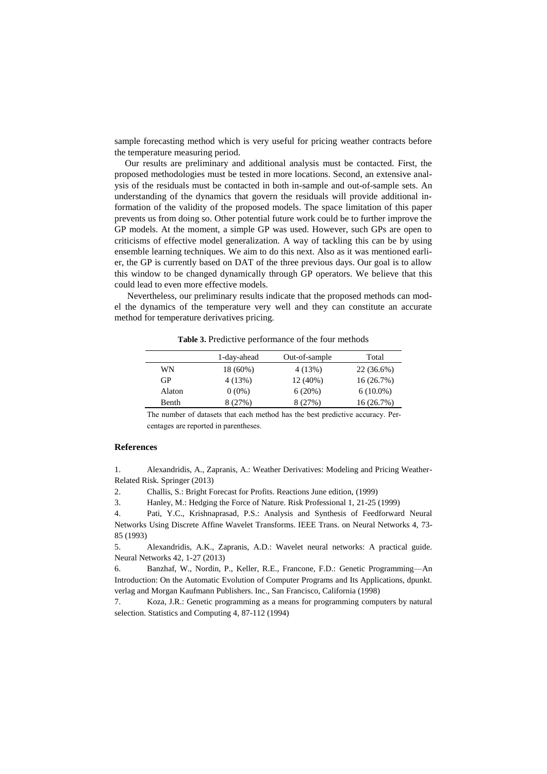sample forecasting method which is very useful for pricing weather contracts before the temperature measuring period.

<span id="page-9-2"></span><span id="page-9-1"></span><span id="page-9-0"></span>Our results are preliminary and additional analysis must be contacted. First, the proposed methodologies must be tested in more locations. Second, an extensive analysis of the residuals must be contacted in both in-sample and out-of-sample sets. An understanding of the dynamics that govern the residuals will provide additional information of the validity of the proposed models. The space limitation of this paper prevents us from doing so. Other potential future work could be to further improve the GP models. At the moment, a simple GP was used. However, such GPs are open to criticisms of effective model generalization. A way of tackling this can be by using ensemble learning techniques. We aim to do this next. Also as it was mentioned earlier, the GP is currently based on DAT of the three previous days. Our goal is to allow this window to be changed dynamically through GP operators. We believe that this could lead to even more effective models.

<span id="page-9-6"></span><span id="page-9-5"></span><span id="page-9-4"></span><span id="page-9-3"></span> Nevertheless, our preliminary results indicate that the proposed methods can model the dynamics of the temperature very well and they can constitute an accurate method for temperature derivatives pricing.

<span id="page-9-7"></span>

|        | 1-day-ahead | Out-of-sample | Total       |
|--------|-------------|---------------|-------------|
| WN     | 18 (60%)    | 4 (13%)       | 22 (36.6%)  |
| GP     | 4 (13%)     | 12 (40%)      | 16(26.7%)   |
| Alaton | $0(0\%)$    | 6(20%)        | $6(10.0\%)$ |
| Benth  | 8(27%)      | 8 (27%)       | 16 (26.7%)  |

**Table 3.** Predictive performance of the four methods

<span id="page-9-10"></span>The number of datasets that each method has the best predictive accuracy. Percentages are reported in parentheses.

#### **References**

<span id="page-9-8"></span>1. Alexandridis, A., Zapranis, A.: Weather Derivatives: Modeling and Pricing Weather-Related Risk. Springer (2013)

<span id="page-9-9"></span>2. Challis, S.: Bright Forecast for Profits. Reactions June edition, (1999)

<span id="page-9-11"></span>3. Hanley, M.: Hedging the Force of Nature. Risk Professional 1, 21-25 (1999)

4. Pati, Y.C., Krishnaprasad, P.S.: Analysis and Synthesis of Feedforward Neural

Networks Using Discrete Affine Wavelet Transforms. IEEE Trans. on Neural Networks 4, 73- 85 (1993)

<span id="page-9-12"></span>5. Alexandridis, A.K., Zapranis, A.D.: Wavelet neural networks: A practical guide. Neural Networks 42, 1-27 (2013)

<span id="page-9-14"></span><span id="page-9-13"></span>6. Banzhaf, W., Nordin, P., Keller, R.E., Francone, F.D.: Genetic Programming—An Introduction: On the Automatic Evolution of Computer Programs and Its Applications, dpunkt. verlag and Morgan Kaufmann Publishers. Inc., San Francisco, California (1998)

7. Koza, J.R.: Genetic programming as a means for programming computers by natural selection. Statistics and Computing 4, 87-112 (1994)